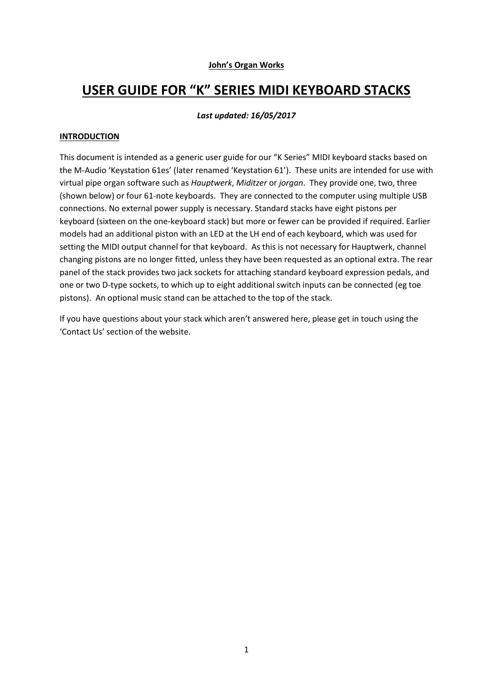#### John's Organ Works

# USER GUIDE FOR "K" SERIES MIDI KEYBOARD STACKS

#### Last updated: 16/05/2017

#### **INTRODUCTION**

This document is intended as a generic user guide for our "K Series" MIDI keyboard stacks based on the M-Audio 'Keystation 61es' (later renamed 'Keystation 61'). These units are intended for use with virtual pipe organ software such as Hauptwerk, Miditzer or jorgan. They provide one, two, three (shown below) or four 61-note keyboards. They are connected to the computer using multiple USB connections. No external power supply is necessary. Standard stacks have eight pistons per keyboard (sixteen on the one-keyboard stack) but more or fewer can be provided if required. Earlier models had an additional piston with an LED at the LH end of each keyboard, which was used for setting the MIDI output channel for that keyboard. As this is not necessary for Hauptwerk, channel changing pistons are no longer fitted, unless they have been requested as an optional extra. The rear panel of the stack provides two jack sockets for attaching standard keyboard expression pedals, and one or two D-type sockets, to which up to eight additional switch inputs can be connected (eg toe pistons). An optional music stand can be attached to the top of the stack.

If you have questions about your stack which aren't answered here, please get in touch using the 'Contact Us' section of the website.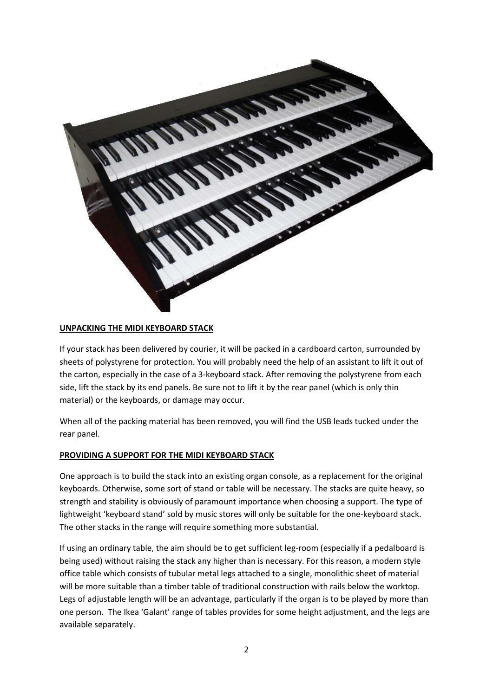

#### UNPACKING THE MIDI KEYBOARD STACK

If your stack has been delivered by courier, it will be packed in a cardboard carton, surrounded by sheets of polystyrene for protection. You will probably need the help of an assistant to lift it out of the carton, especially in the case of a 3-keyboard stack. After removing the polystyrene from each side, lift the stack by its end panels. Be sure not to lift it by the rear panel (which is only thin material) or the keyboards, or damage may occur.

When all of the packing material has been removed, you will find the USB leads tucked under the rear panel.

#### PROVIDING A SUPPORT FOR THE MIDI KEYBOARD STACK

One approach is to build the stack into an existing organ console, as a replacement for the original keyboards. Otherwise, some sort of stand or table will be necessary. The stacks are quite heavy, so strength and stability is obviously of paramount importance when choosing a support. The type of lightweight 'keyboard stand' sold by music stores will only be suitable for the one-keyboard stack. The other stacks in the range will require something more substantial.

If using an ordinary table, the aim should be to get sufficient leg-room (especially if a pedalboard is being used) without raising the stack any higher than is necessary. For this reason, a modern style office table which consists of tubular metal legs attached to a single, monolithic sheet of material will be more suitable than a timber table of traditional construction with rails below the worktop. Legs of adjustable length will be an advantage, particularly if the organ is to be played by more than one person. The Ikea 'Galant' range of tables provides for some height adjustment, and the legs are available separately.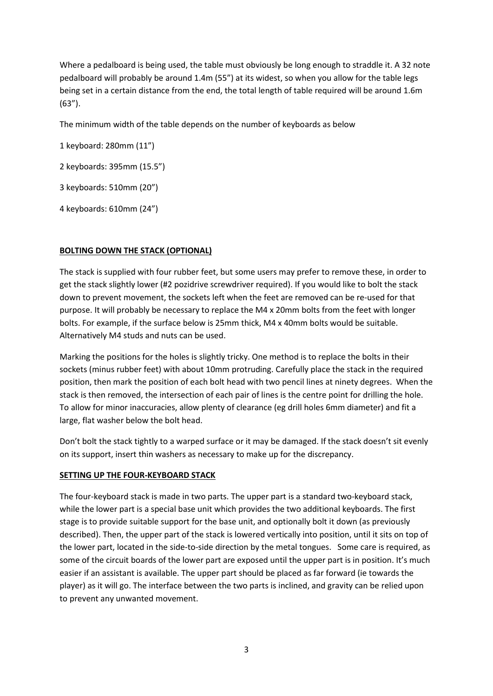Where a pedalboard is being used, the table must obviously be long enough to straddle it. A 32 note pedalboard will probably be around 1.4m (55") at its widest, so when you allow for the table legs being set in a certain distance from the end, the total length of table required will be around 1.6m (63").

The minimum width of the table depends on the number of keyboards as below

1 keyboard: 280mm (11")

2 keyboards: 395mm (15.5")

3 keyboards: 510mm (20")

4 keyboards: 610mm (24")

# BOLTING DOWN THE STACK (OPTIONAL)

The stack is supplied with four rubber feet, but some users may prefer to remove these, in order to get the stack slightly lower (#2 pozidrive screwdriver required). If you would like to bolt the stack down to prevent movement, the sockets left when the feet are removed can be re-used for that purpose. It will probably be necessary to replace the M4 x 20mm bolts from the feet with longer bolts. For example, if the surface below is 25mm thick, M4 x 40mm bolts would be suitable. Alternatively M4 studs and nuts can be used.

Marking the positions for the holes is slightly tricky. One method is to replace the bolts in their sockets (minus rubber feet) with about 10mm protruding. Carefully place the stack in the required position, then mark the position of each bolt head with two pencil lines at ninety degrees. When the stack is then removed, the intersection of each pair of lines is the centre point for drilling the hole. To allow for minor inaccuracies, allow plenty of clearance (eg drill holes 6mm diameter) and fit a large, flat washer below the bolt head.

Don't bolt the stack tightly to a warped surface or it may be damaged. If the stack doesn't sit evenly on its support, insert thin washers as necessary to make up for the discrepancy.

## SETTING UP THE FOUR-KEYBOARD STACK

The four-keyboard stack is made in two parts. The upper part is a standard two-keyboard stack, while the lower part is a special base unit which provides the two additional keyboards. The first stage is to provide suitable support for the base unit, and optionally bolt it down (as previously described). Then, the upper part of the stack is lowered vertically into position, until it sits on top of the lower part, located in the side-to-side direction by the metal tongues. Some care is required, as some of the circuit boards of the lower part are exposed until the upper part is in position. It's much easier if an assistant is available. The upper part should be placed as far forward (ie towards the player) as it will go. The interface between the two parts is inclined, and gravity can be relied upon to prevent any unwanted movement.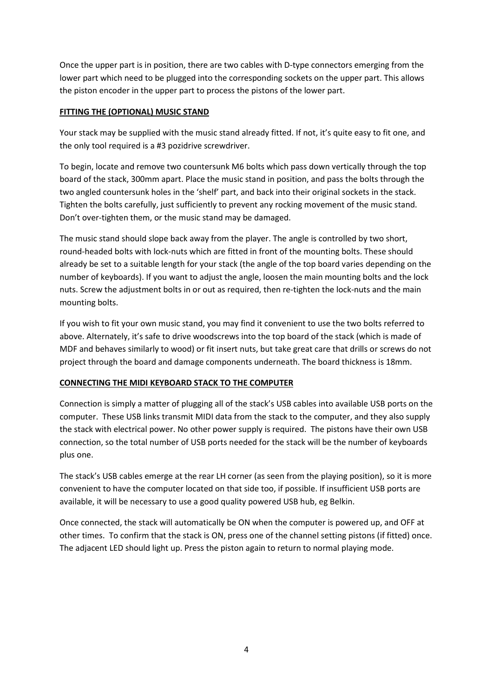Once the upper part is in position, there are two cables with D-type connectors emerging from the lower part which need to be plugged into the corresponding sockets on the upper part. This allows the piston encoder in the upper part to process the pistons of the lower part.

# FITTING THE (OPTIONAL) MUSIC STAND

Your stack may be supplied with the music stand already fitted. If not, it's quite easy to fit one, and the only tool required is a #3 pozidrive screwdriver.

To begin, locate and remove two countersunk M6 bolts which pass down vertically through the top board of the stack, 300mm apart. Place the music stand in position, and pass the bolts through the two angled countersunk holes in the 'shelf' part, and back into their original sockets in the stack. Tighten the bolts carefully, just sufficiently to prevent any rocking movement of the music stand. Don't over-tighten them, or the music stand may be damaged.

The music stand should slope back away from the player. The angle is controlled by two short, round-headed bolts with lock-nuts which are fitted in front of the mounting bolts. These should already be set to a suitable length for your stack (the angle of the top board varies depending on the number of keyboards). If you want to adjust the angle, loosen the main mounting bolts and the lock nuts. Screw the adjustment bolts in or out as required, then re-tighten the lock-nuts and the main mounting bolts.

If you wish to fit your own music stand, you may find it convenient to use the two bolts referred to above. Alternately, it's safe to drive woodscrews into the top board of the stack (which is made of MDF and behaves similarly to wood) or fit insert nuts, but take great care that drills or screws do not project through the board and damage components underneath. The board thickness is 18mm.

## CONNECTING THE MIDI KEYBOARD STACK TO THE COMPUTER

Connection is simply a matter of plugging all of the stack's USB cables into available USB ports on the computer. These USB links transmit MIDI data from the stack to the computer, and they also supply the stack with electrical power. No other power supply is required. The pistons have their own USB connection, so the total number of USB ports needed for the stack will be the number of keyboards plus one.

The stack's USB cables emerge at the rear LH corner (as seen from the playing position), so it is more convenient to have the computer located on that side too, if possible. If insufficient USB ports are available, it will be necessary to use a good quality powered USB hub, eg Belkin.

Once connected, the stack will automatically be ON when the computer is powered up, and OFF at other times. To confirm that the stack is ON, press one of the channel setting pistons (if fitted) once. The adjacent LED should light up. Press the piston again to return to normal playing mode.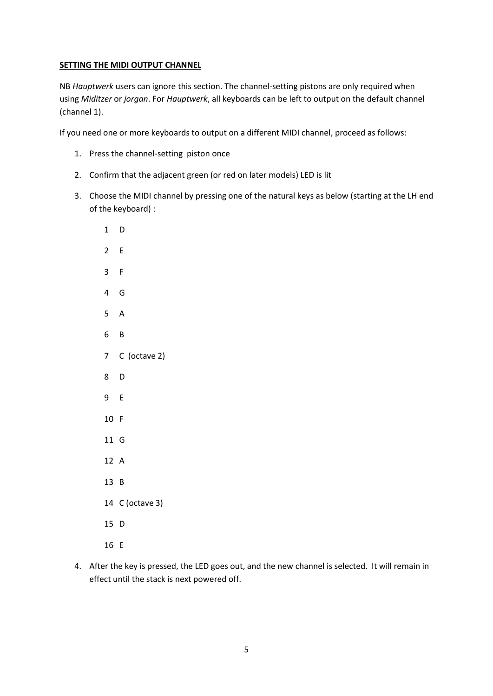#### **SETTING THE MIDI OUTPUT CHANNEL**

NB Hauptwerk users can ignore this section. The channel-setting pistons are only required when using Miditzer or jorgan. For Hauptwerk, all keyboards can be left to output on the default channel (channel 1).

If you need one or more keyboards to output on a different MIDI channel, proceed as follows:

- 1. Press the channel-setting piston once
- 2. Confirm that the adjacent green (or red on later models) LED is lit
- 3. Choose the MIDI channel by pressing one of the natural keys as below (starting at the LH end of the keyboard) :
	- D E F G A B C (octave 2) D E F G A B C (octave 3) D E
- 4. After the key is pressed, the LED goes out, and the new channel is selected. It will remain in effect until the stack is next powered off.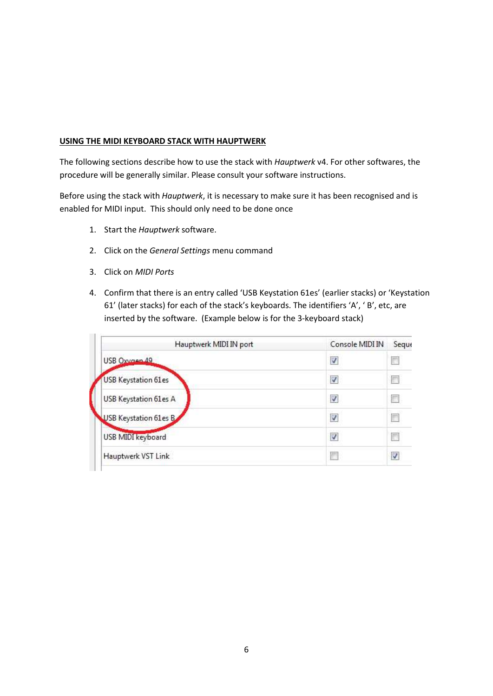#### USING THE MIDI KEYBOARD STACK WITH HAUPTWERK

The following sections describe how to use the stack with Hauptwerk v4. For other softwares, the procedure will be generally similar. Please consult your software instructions.

Before using the stack with Hauptwerk, it is necessary to make sure it has been recognised and is enabled for MIDI input. This should only need to be done once

- 1. Start the Hauptwerk software.
- 2. Click on the General Settings menu command
- 3. Click on MIDI Ports
- 4. Confirm that there is an entry called 'USB Keystation 61es' (earlier stacks) or 'Keystation 61' (later stacks) for each of the stack's keyboards. The identifiers 'A', ' B', etc, are inserted by the software. (Example below is for the 3-keyboard stack)

| Hauptwerk MIDI IN port     | Console MIDI IN          | Seque |
|----------------------------|--------------------------|-------|
| USB Oxygen 49              | V                        |       |
| <b>USB Keystation 61es</b> | $\overline{\mathcal{A}}$ |       |
| USB Keystation 61es A      | V                        |       |
| USB Keystation 61es B      | V                        |       |
| USB MIDI keyboard          | V                        |       |
| Hauptwerk VST Link         |                          | V     |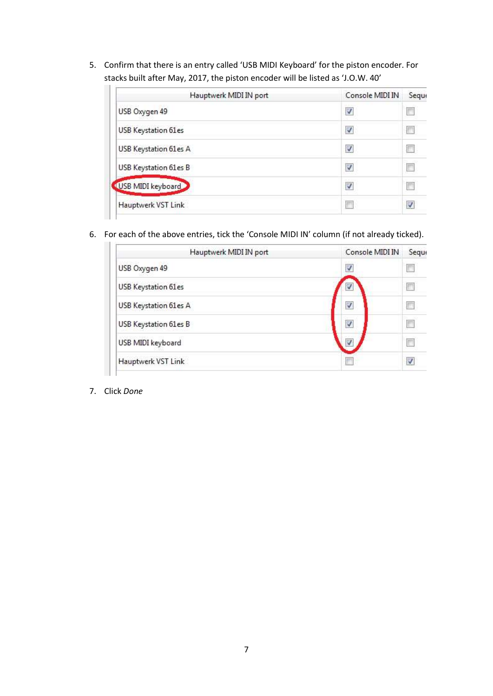5. Confirm that there is an entry called 'USB MIDI Keyboard' for the piston encoder. For stacks built after May, 2017, the piston encoder will be listed as 'J.O.W. 40'

| Hauptwerk MIDI IN port     | Console MIDI IN  | Seque |
|----------------------------|------------------|-------|
| USB Oxygen 49              | V                | П     |
| <b>USB Keystation 61es</b> | ∛                |       |
| USB Keystation 61es A      | $\boldsymbol{J}$ |       |
| USB Keystation 61es B      | V                | Γ     |
| USB MIDI keyboard          | $\checkmark$     | Е     |
| Hauptwerk VST Link         |                  | V     |

6. For each of the above entries, tick the 'Console MIDI IN' column (if not already ticked).

| Hauptwerk MIDI IN port | Console MIDI IN | Seque |
|------------------------|-----------------|-------|
| USB Oxygen 49          | $\checkmark$    |       |
| USB Keystation 61es    | V               | F     |
| USB Keystation 61es A  | V               |       |
| USB Keystation 61es B  | V               |       |
| USB MIDI keyboard      |                 | F     |
| Hauptwerk VST Link     |                 | V     |

7. Click Done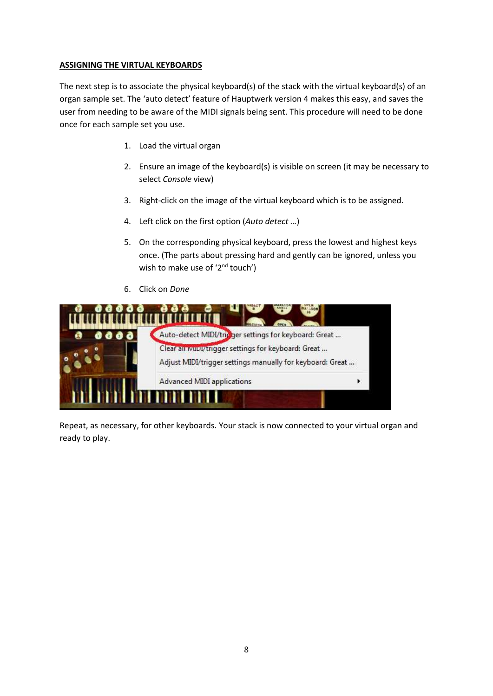#### ASSIGNING THE VIRTUAL KEYBOARDS

The next step is to associate the physical keyboard(s) of the stack with the virtual keyboard(s) of an organ sample set. The 'auto detect' feature of Hauptwerk version 4 makes this easy, and saves the user from needing to be aware of the MIDI signals being sent. This procedure will need to be done once for each sample set you use.

- 1. Load the virtual organ
- 2. Ensure an image of the keyboard(s) is visible on screen (it may be necessary to select Console view)
- 3. Right-click on the image of the virtual keyboard which is to be assigned.
- 4. Left click on the first option (Auto detect ...)
- 5. On the corresponding physical keyboard, press the lowest and highest keys once. (The parts about pressing hard and gently can be ignored, unless you wish to make use of '2<sup>nd</sup> touch')
- 6. Click on Done



Repeat, as necessary, for other keyboards. Your stack is now connected to your virtual organ and ready to play.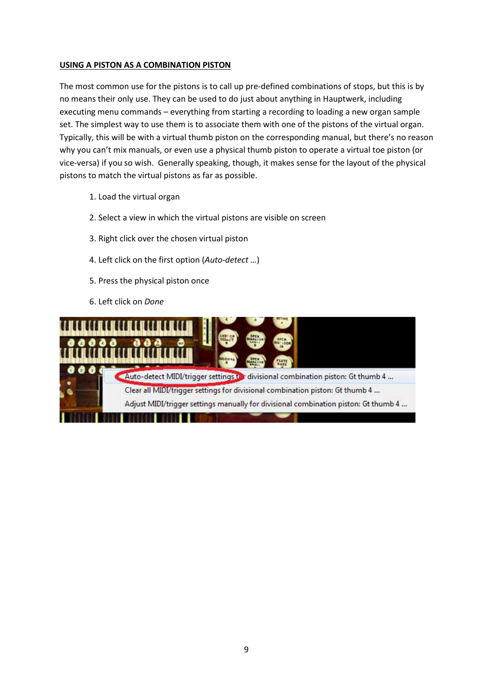#### USING A PISTON AS A COMBINATION PISTON

The most common use for the pistons is to call up pre-defined combinations of stops, but this is by no means their only use. They can be used to do just about anything in Hauptwerk, including executing menu commands – everything from starting a recording to loading a new organ sample set. The simplest way to use them is to associate them with one of the pistons of the virtual organ. Typically, this will be with a virtual thumb piston on the corresponding manual, but there's no reason why you can't mix manuals, or even use a physical thumb piston to operate a virtual toe piston (or vice-versa) if you so wish. Generally speaking, though, it makes sense for the layout of the physical pistons to match the virtual pistons as far as possible.

- 1. Load the virtual organ
- 2. Select a view in which the virtual pistons are visible on screen
- 3. Right click over the chosen virtual piston
- 4. Left click on the first option (Auto-detect …)
- 5. Press the physical piston once
- 6. Left click on Done

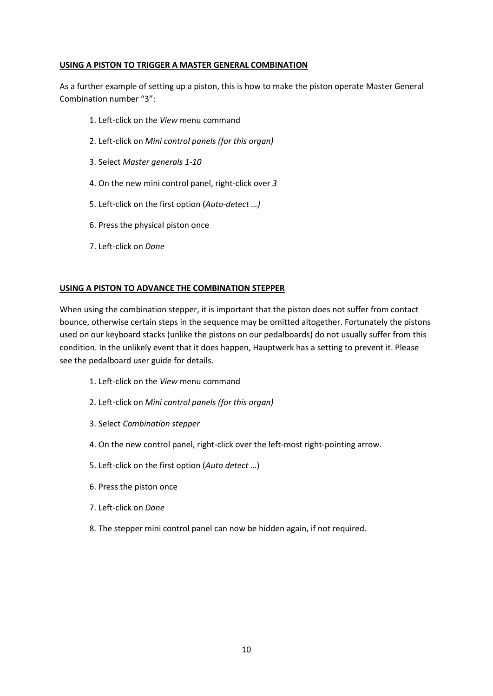#### USING A PISTON TO TRIGGER A MASTER GENERAL COMBINATION

As a further example of setting up a piston, this is how to make the piston operate Master General Combination number "3":

- 1. Left-click on the View menu command
- 2. Left-click on Mini control panels (for this organ)
- 3. Select Master generals 1-10
- 4. On the new mini control panel, right-click over 3
- 5. Left-click on the first option (Auto-detect …)
- 6. Press the physical piston once
- 7. Left-click on Done

#### USING A PISTON TO ADVANCE THE COMBINATION STEPPER

When using the combination stepper, it is important that the piston does not suffer from contact bounce, otherwise certain steps in the sequence may be omitted altogether. Fortunately the pistons used on our keyboard stacks (unlike the pistons on our pedalboards) do not usually suffer from this condition. In the unlikely event that it does happen, Hauptwerk has a setting to prevent it. Please see the pedalboard user guide for details.

- 1. Left-click on the View menu command
- 2. Left-click on Mini control panels (for this organ)
- 3. Select Combination stepper
- 4. On the new control panel, right-click over the left-most right-pointing arrow.
- 5. Left-click on the first option (Auto detect …)
- 6. Press the piston once
- 7. Left-click on Done
- 8. The stepper mini control panel can now be hidden again, if not required.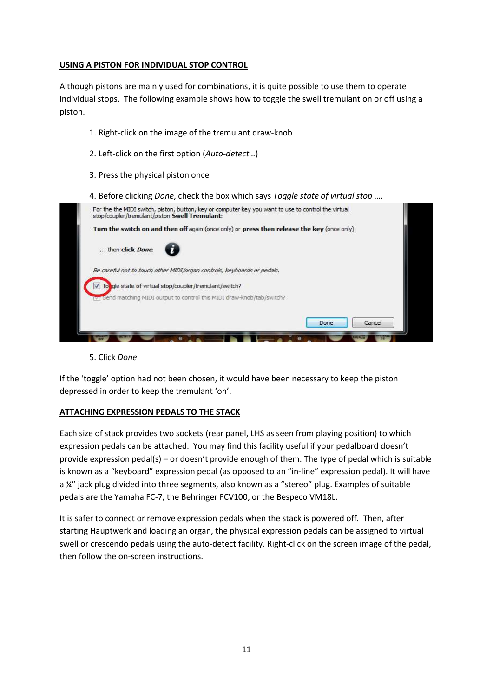#### USING A PISTON FOR INDIVIDUAL STOP CONTROL

Although pistons are mainly used for combinations, it is quite possible to use them to operate individual stops. The following example shows how to toggle the swell tremulant on or off using a piston.

- 1. Right-click on the image of the tremulant draw-knob
- 2. Left-click on the first option (Auto-detect…)
- 3. Press the physical piston once
- 4. Before clicking Done, check the box which says Toggle state of virtual stop ....



5. Click Done

If the 'toggle' option had not been chosen, it would have been necessary to keep the piston depressed in order to keep the tremulant 'on'.

## ATTACHING EXPRESSION PEDALS TO THE STACK

Each size of stack provides two sockets (rear panel, LHS as seen from playing position) to which expression pedals can be attached. You may find this facility useful if your pedalboard doesn't provide expression pedal(s) – or doesn't provide enough of them. The type of pedal which is suitable is known as a "keyboard" expression pedal (as opposed to an "in-line" expression pedal). It will have a ¼" jack plug divided into three segments, also known as a "stereo" plug. Examples of suitable pedals are the Yamaha FC-7, the Behringer FCV100, or the Bespeco VM18L.

It is safer to connect or remove expression pedals when the stack is powered off. Then, after starting Hauptwerk and loading an organ, the physical expression pedals can be assigned to virtual swell or crescendo pedals using the auto-detect facility. Right-click on the screen image of the pedal, then follow the on-screen instructions.